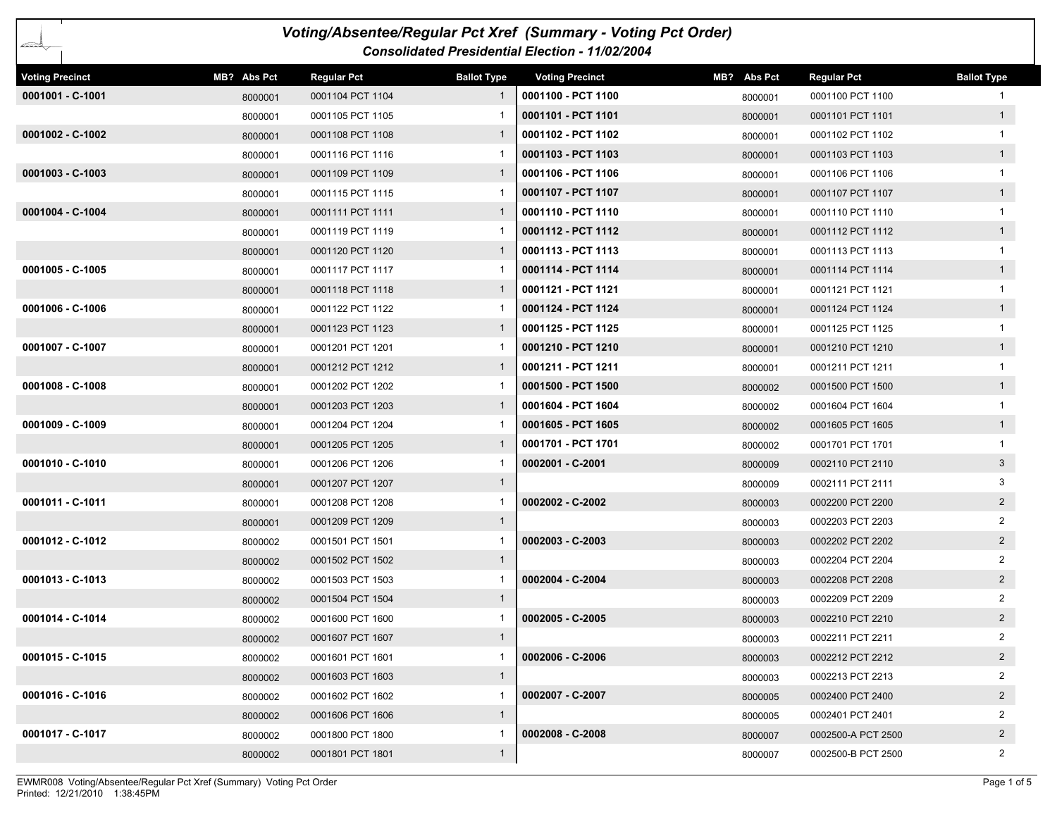| Voting/Absentee/Regular Pct Xref (Summary - Voting Pct Order)                                                                                                |             |                    |                    |                        |             |                    |                    |  |  |  |
|--------------------------------------------------------------------------------------------------------------------------------------------------------------|-------------|--------------------|--------------------|------------------------|-------------|--------------------|--------------------|--|--|--|
| baran Sarajara, Sarajara, Sarajara, Sarajara, Sarajara, Sarajara, Sarajara, Sarajara, Sarajara, Sa<br><b>Consolidated Presidential Election - 11/02/2004</b> |             |                    |                    |                        |             |                    |                    |  |  |  |
| <b>Voting Precinct</b>                                                                                                                                       | MB? Abs Pct | <b>Regular Pct</b> | <b>Ballot Type</b> | <b>Voting Precinct</b> | MB? Abs Pct | <b>Regular Pct</b> | <b>Ballot Type</b> |  |  |  |
| 0001001 - C-1001                                                                                                                                             | 8000001     | 0001104 PCT 1104   | -1                 | 0001100 - PCT 1100     | 8000001     | 0001100 PCT 1100   | 1                  |  |  |  |
|                                                                                                                                                              | 8000001     | 0001105 PCT 1105   |                    | 0001101 - PCT 1101     | 8000001     | 0001101 PCT 1101   | 1                  |  |  |  |
| 0001002 - C-1002                                                                                                                                             | 8000001     | 0001108 PCT 1108   |                    | 0001102 - PCT 1102     | 8000001     | 0001102 PCT 1102   |                    |  |  |  |
|                                                                                                                                                              | 8000001     | 0001116 PCT 1116   |                    | 0001103 - PCT 1103     | 8000001     | 0001103 PCT 1103   | 1                  |  |  |  |
| $0001003 - C-1003$                                                                                                                                           | 8000001     | 0001109 PCT 1109   |                    | 0001106 - PCT 1106     | 8000001     | 0001106 PCT 1106   | $\mathbf{1}$       |  |  |  |
|                                                                                                                                                              | 8000001     | 0001115 PCT 1115   |                    | 0001107 - PCT 1107     | 8000001     | 0001107 PCT 1107   | 1                  |  |  |  |
| 0001004 - C-1004                                                                                                                                             | 8000001     | 0001111 PCT 1111   | $\mathbf{1}$       | 0001110 - PCT 1110     | 8000001     | 0001110 PCT 1110   |                    |  |  |  |
|                                                                                                                                                              | 8000001     | 0001119 PCT 1119   |                    | 0001112 - PCT 1112     | 8000001     | 0001112 PCT 1112   | 1                  |  |  |  |
|                                                                                                                                                              | 8000001     | 0001120 PCT 1120   | $\mathbf{1}$       | 0001113 - PCT 1113     | 8000001     | 0001113 PCT 1113   |                    |  |  |  |
| 0001005 - C-1005                                                                                                                                             | 8000001     | 0001117 PCT 1117   |                    | 0001114 - PCT 1114     | 8000001     | 0001114 PCT 1114   | 1                  |  |  |  |
|                                                                                                                                                              | 8000001     | 0001118 PCT 1118   | -1                 | 0001121 - PCT 1121     | 8000001     | 0001121 PCT 1121   | $\mathbf{1}$       |  |  |  |
| 0001006 - C-1006                                                                                                                                             | 8000001     | 0001122 PCT 1122   |                    | 0001124 - PCT 1124     | 8000001     | 0001124 PCT 1124   | 1                  |  |  |  |
|                                                                                                                                                              | 8000001     | 0001123 PCT 1123   | -1                 | 0001125 - PCT 1125     | 8000001     | 0001125 PCT 1125   | -1                 |  |  |  |
| 0001007 - C-1007                                                                                                                                             | 8000001     | 0001201 PCT 1201   |                    | 0001210 - PCT 1210     | 8000001     | 0001210 PCT 1210   | 1                  |  |  |  |
|                                                                                                                                                              | 8000001     | 0001212 PCT 1212   |                    | 0001211 - PCT 1211     | 8000001     | 0001211 PCT 1211   | $\mathbf{1}$       |  |  |  |
| 0001008 - C-1008                                                                                                                                             | 8000001     | 0001202 PCT 1202   |                    | 0001500 - PCT 1500     | 8000002     | 0001500 PCT 1500   | 1                  |  |  |  |
|                                                                                                                                                              | 8000001     | 0001203 PCT 1203   |                    | 0001604 - PCT 1604     | 8000002     | 0001604 PCT 1604   |                    |  |  |  |
| 0001009 - C-1009                                                                                                                                             | 8000001     | 0001204 PCT 1204   |                    | 0001605 - PCT 1605     | 8000002     | 0001605 PCT 1605   | 1                  |  |  |  |
|                                                                                                                                                              | 8000001     | 0001205 PCT 1205   | 1                  | 0001701 - PCT 1701     | 8000002     | 0001701 PCT 1701   |                    |  |  |  |
| 0001010 - C-1010                                                                                                                                             | 8000001     | 0001206 PCT 1206   |                    | 0002001 - C-2001       | 8000009     | 0002110 PCT 2110   | 3 <sup>1</sup>     |  |  |  |
|                                                                                                                                                              | 8000001     | 0001207 PCT 1207   | $\mathbf{1}$       |                        | 8000009     | 0002111 PCT 2111   | 3                  |  |  |  |
| 0001011 - C-1011                                                                                                                                             | 8000001     | 0001208 PCT 1208   |                    | 0002002 - C-2002       | 8000003     | 0002200 PCT 2200   | $2^{\circ}$        |  |  |  |
|                                                                                                                                                              | 8000001     | 0001209 PCT 1209   | $\mathbf{1}$       |                        | 8000003     | 0002203 PCT 2203   | $\mathbf{2}$       |  |  |  |
| 0001012 - C-1012                                                                                                                                             | 8000002     | 0001501 PCT 1501   |                    | $0002003 - C-2003$     | 8000003     | 0002202 PCT 2202   | $2^{\circ}$        |  |  |  |
|                                                                                                                                                              | 8000002     | 0001502 PCT 1502   | $\mathbf{1}$       |                        | 8000003     | 0002204 PCT 2204   | $\overline{2}$     |  |  |  |
| 0001013 - C-1013                                                                                                                                             | 8000002     | 0001503 PCT 1503   |                    | 0002004 - C-2004       | 8000003     | 0002208 PCT 2208   | $2^{\circ}$        |  |  |  |
|                                                                                                                                                              | 8000002     | 0001504 PCT 1504   | $\mathbf{1}$       |                        | 8000003     | 0002209 PCT 2209   | 2                  |  |  |  |
| 0001014 - C-1014                                                                                                                                             | 8000002     | 0001600 PCT 1600   |                    | 0002005 - C-2005       | 8000003     | 0002210 PCT 2210   | $\overline{2}$     |  |  |  |
|                                                                                                                                                              | 8000002     | 0001607 PCT 1607   | $\mathbf{1}$       |                        | 8000003     | 0002211 PCT 2211   | 2                  |  |  |  |
| 0001015 - C-1015                                                                                                                                             | 8000002     | 0001601 PCT 1601   | 1                  | 0002006 - C-2006       | 8000003     | 0002212 PCT 2212   | $2^{\circ}$        |  |  |  |
|                                                                                                                                                              | 8000002     | 0001603 PCT 1603   | $\mathbf{1}$       |                        | 8000003     | 0002213 PCT 2213   | $\overline{2}$     |  |  |  |
| 0001016 - C-1016                                                                                                                                             | 8000002     | 0001602 PCT 1602   | -1                 | 0002007 - C-2007       | 8000005     | 0002400 PCT 2400   | $\overline{2}$     |  |  |  |
|                                                                                                                                                              | 8000002     | 0001606 PCT 1606   | $\mathbf{1}$       |                        | 8000005     | 0002401 PCT 2401   | $\overline{2}$     |  |  |  |
| 0001017 - C-1017                                                                                                                                             | 8000002     | 0001800 PCT 1800   |                    | $0002008 - C - 2008$   | 8000007     | 0002500-A PCT 2500 | $2^{\circ}$        |  |  |  |
|                                                                                                                                                              | 8000002     | 0001801 PCT 1801   | $\mathbf{1}$       |                        | 8000007     | 0002500-B PCT 2500 | $\overline{2}$     |  |  |  |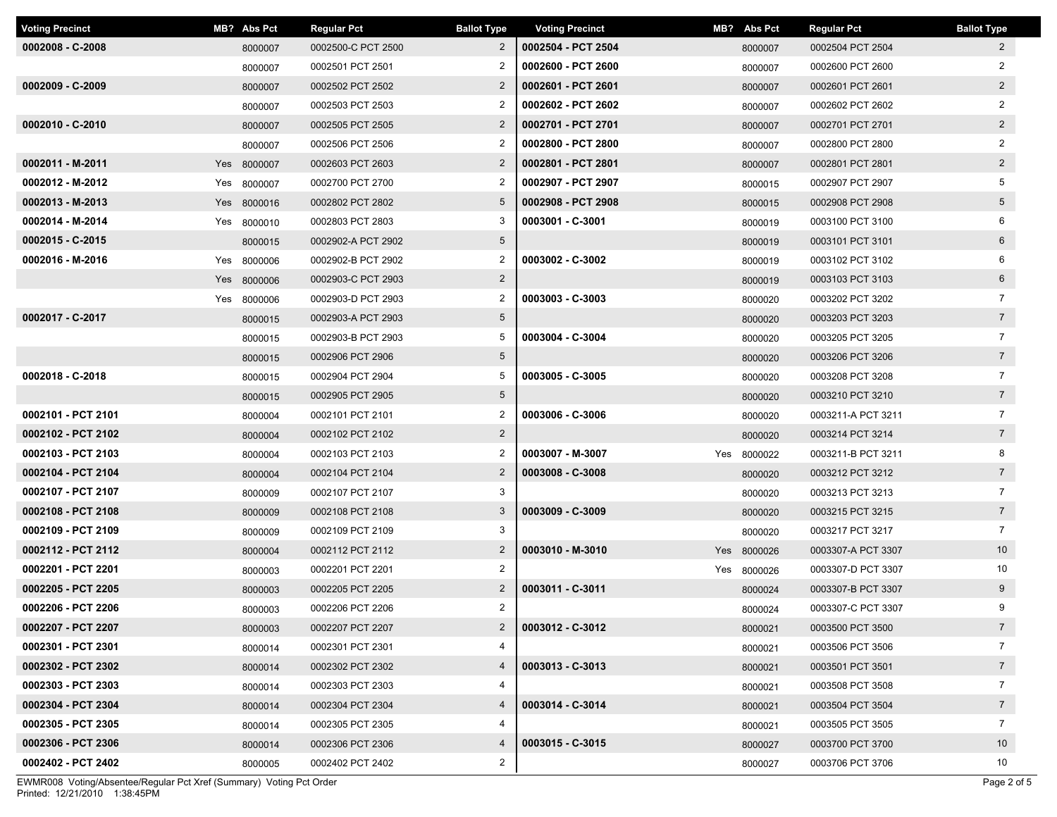| <b>Voting Precinct</b> | MB? Abs Pct | <b>Regular Pct</b> | <b>Ballot Type</b> | <b>Voting Precinct</b> | MB? Abs Pct |         | <b>Regular Pct</b> | <b>Ballot Type</b> |
|------------------------|-------------|--------------------|--------------------|------------------------|-------------|---------|--------------------|--------------------|
| $0002008 - C - 2008$   | 8000007     | 0002500-C PCT 2500 | $\overline{2}$     | 0002504 - PCT 2504     |             | 8000007 | 0002504 PCT 2504   | $\mathbf{2}$       |
|                        | 8000007     | 0002501 PCT 2501   | 2                  | 0002600 - PCT 2600     |             | 8000007 | 0002600 PCT 2600   | $\overline{2}$     |
| $0002009 - C - 2009$   | 8000007     | 0002502 PCT 2502   | $\overline{2}$     | 0002601 - PCT 2601     |             | 8000007 | 0002601 PCT 2601   | $2^{\circ}$        |
|                        | 8000007     | 0002503 PCT 2503   | 2                  | 0002602 - PCT 2602     |             | 8000007 | 0002602 PCT 2602   | $\overline{2}$     |
| 0002010 - C-2010       | 8000007     | 0002505 PCT 2505   | $\overline{2}$     | 0002701 - PCT 2701     |             | 8000007 | 0002701 PCT 2701   | $2^{\circ}$        |
|                        | 8000007     | 0002506 PCT 2506   | 2                  | 0002800 - PCT 2800     |             | 8000007 | 0002800 PCT 2800   | $\overline{2}$     |
| 0002011 - M-2011       | Yes 8000007 | 0002603 PCT 2603   | $\overline{2}$     | 0002801 - PCT 2801     |             | 8000007 | 0002801 PCT 2801   | $\overline{2}$     |
| 0002012 - M-2012       | Yes 8000007 | 0002700 PCT 2700   | $\overline{2}$     | 0002907 - PCT 2907     |             | 8000015 | 0002907 PCT 2907   | 5                  |
| 0002013 - M-2013       | Yes 8000016 | 0002802 PCT 2802   | 5                  | 0002908 - PCT 2908     |             | 8000015 | 0002908 PCT 2908   | $5\overline{)}$    |
| 0002014 - M-2014       | Yes 8000010 | 0002803 PCT 2803   | 3                  | 0003001 - C-3001       |             | 8000019 | 0003100 PCT 3100   | 6                  |
| 0002015 - C-2015       | 8000015     | 0002902-A PCT 2902 | $5\phantom{.0}$    |                        |             | 8000019 | 0003101 PCT 3101   | 6                  |
| 0002016 - M-2016       | Yes 8000006 | 0002902-B PCT 2902 | $\overline{2}$     | 0003002 - C-3002       |             | 8000019 | 0003102 PCT 3102   | 6                  |
|                        | Yes 8000006 | 0002903-C PCT 2903 | $2^{\circ}$        |                        |             | 8000019 | 0003103 PCT 3103   | $6\overline{6}$    |
|                        | Yes 8000006 | 0002903-D PCT 2903 | 2                  | 0003003 - C-3003       |             | 8000020 | 0003202 PCT 3202   | $\overline{7}$     |
| 0002017 - C-2017       | 8000015     | 0002903-A PCT 2903 | $5\overline{)}$    |                        |             | 8000020 | 0003203 PCT 3203   | $7\overline{ }$    |
|                        | 8000015     | 0002903-B PCT 2903 | 5                  | 0003004 - C-3004       |             | 8000020 | 0003205 PCT 3205   | $\overline{7}$     |
|                        | 8000015     | 0002906 PCT 2906   | $5\overline{)}$    |                        |             | 8000020 | 0003206 PCT 3206   | $7\overline{ }$    |
| 0002018 - C-2018       | 8000015     | 0002904 PCT 2904   | 5                  | 0003005 - C-3005       |             | 8000020 | 0003208 PCT 3208   | $\overline{7}$     |
|                        | 8000015     | 0002905 PCT 2905   | $5\overline{)}$    |                        |             | 8000020 | 0003210 PCT 3210   | $7\overline{ }$    |
| 0002101 - PCT 2101     | 8000004     | 0002101 PCT 2101   | $\overline{2}$     | 0003006 - C-3006       |             | 8000020 | 0003211-A PCT 3211 | $\overline{7}$     |
| 0002102 - PCT 2102     | 8000004     | 0002102 PCT 2102   | $2^{\circ}$        |                        |             | 8000020 | 0003214 PCT 3214   | $7\overline{ }$    |
| 0002103 - PCT 2103     | 8000004     | 0002103 PCT 2103   | $\overline{2}$     | 0003007 - M-3007       | Yes 8000022 |         | 0003211-B PCT 3211 | 8                  |
| 0002104 - PCT 2104     | 8000004     | 0002104 PCT 2104   | $\overline{2}$     | 0003008 - C-3008       |             | 8000020 | 0003212 PCT 3212   | $7\overline{ }$    |
| 0002107 - PCT 2107     | 8000009     | 0002107 PCT 2107   | 3                  |                        |             | 8000020 | 0003213 PCT 3213   | $\overline{7}$     |
| 0002108 - PCT 2108     | 8000009     | 0002108 PCT 2108   | $\mathbf{3}$       | 0003009 - C-3009       |             | 8000020 | 0003215 PCT 3215   | $7\overline{ }$    |
| 0002109 - PCT 2109     | 8000009     | 0002109 PCT 2109   | 3                  |                        |             | 8000020 | 0003217 PCT 3217   | $\overline{7}$     |
| 0002112 - PCT 2112     | 8000004     | 0002112 PCT 2112   | $\overline{2}$     | 0003010 - M-3010       | Yes 8000026 |         | 0003307-A PCT 3307 | 10                 |
| 0002201 - PCT 2201     | 8000003     | 0002201 PCT 2201   | $\overline{2}$     |                        | Yes 8000026 |         | 0003307-D PCT 3307 | 10                 |
| 0002205 - PCT 2205     | 8000003     | 0002205 PCT 2205   | $\overline{2}$     | 0003011 - C-3011       |             | 8000024 | 0003307-B PCT 3307 | $9^{\circ}$        |
| 0002206 - PCT 2206     | 8000003     | 0002206 PCT 2206   | $\overline{2}$     |                        |             | 8000024 | 0003307-C PCT 3307 | 9                  |
| 0002207 - PCT 2207     | 8000003     | 0002207 PCT 2207   | $\mathbf{2}$       | 0003012 - C-3012       |             | 8000021 | 0003500 PCT 3500   | $7\overline{ }$    |
| 0002301 - PCT 2301     | 8000014     | 0002301 PCT 2301   | 4                  |                        |             | 8000021 | 0003506 PCT 3506   | $\overline{7}$     |
| 0002302 - PCT 2302     | 8000014     | 0002302 PCT 2302   | $\overline{4}$     | 0003013 - C-3013       |             | 8000021 | 0003501 PCT 3501   | $7\overline{ }$    |
| 0002303 - PCT 2303     | 8000014     | 0002303 PCT 2303   | 4                  |                        |             | 8000021 | 0003508 PCT 3508   | $\overline{7}$     |
| 0002304 - PCT 2304     | 8000014     | 0002304 PCT 2304   | 4                  | 0003014 - C-3014       |             | 8000021 | 0003504 PCT 3504   | 7 <sup>7</sup>     |
| 0002305 - PCT 2305     | 8000014     | 0002305 PCT 2305   | 4                  |                        |             | 8000021 | 0003505 PCT 3505   | $\overline{7}$     |
| 0002306 - PCT 2306     | 8000014     | 0002306 PCT 2306   | 4                  | 0003015 - C-3015       |             | 8000027 | 0003700 PCT 3700   | 10 <sup>°</sup>    |
| 0002402 - PCT 2402     | 8000005     | 0002402 PCT 2402   | $\overline{2}$     |                        |             | 8000027 | 0003706 PCT 3706   | 10                 |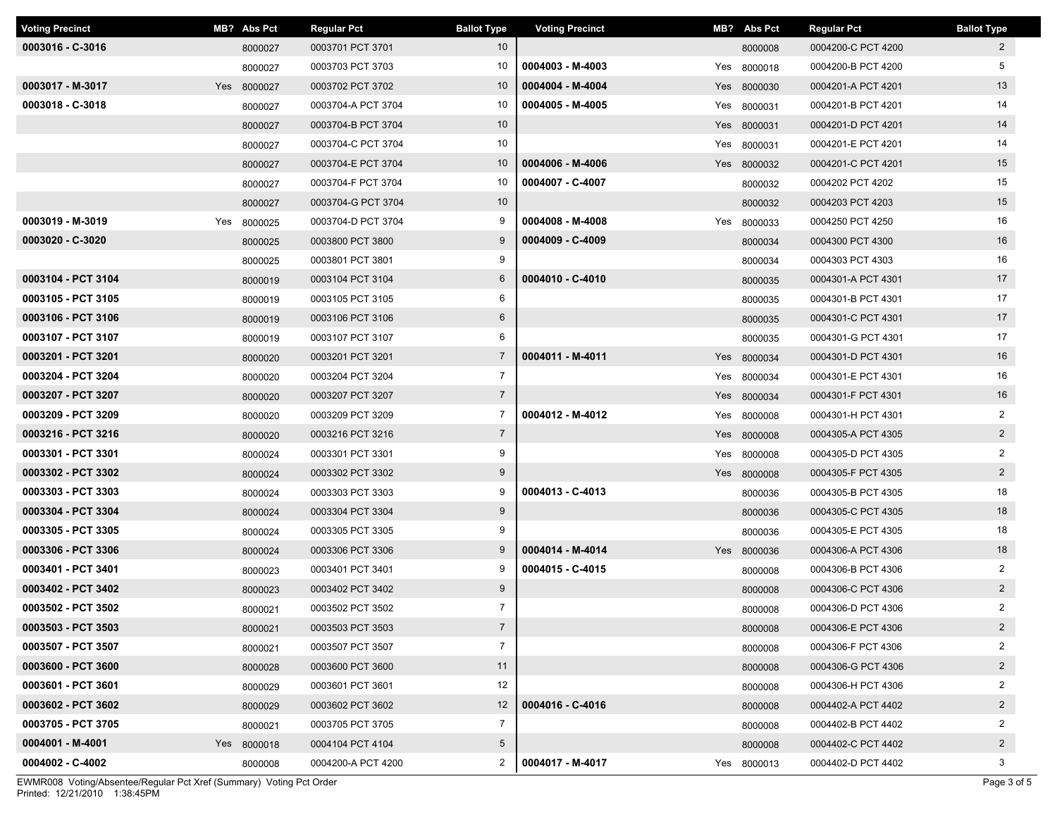| <b>Voting Precinct</b> | MB? Abs Pct | <b>Regular Pct</b> | <b>Ballot Type</b> | <b>Voting Precinct</b> | MB? Abs Pct | <b>Regular Pct</b> | <b>Ballot Type</b> |
|------------------------|-------------|--------------------|--------------------|------------------------|-------------|--------------------|--------------------|
| 0003016 - C-3016       | 8000027     | 0003701 PCT 3701   | 10 <sup>°</sup>    |                        | 8000008     | 0004200-C PCT 4200 | $\mathbf{2}$       |
|                        | 8000027     | 0003703 PCT 3703   | 10                 | 0004003 - M-4003       | Yes 8000018 | 0004200-B PCT 4200 | 5                  |
| 0003017 - M-3017       | Yes 8000027 | 0003702 PCT 3702   | 10                 | 0004004 - M-4004       | Yes 8000030 | 0004201-A PCT 4201 | 13                 |
| 0003018 - C-3018       | 8000027     | 0003704-A PCT 3704 | 10                 | 0004005 - M-4005       | Yes 8000031 | 0004201-B PCT 4201 | 14                 |
|                        | 8000027     | 0003704-B PCT 3704 | 10                 |                        | Yes 8000031 | 0004201-D PCT 4201 | 14                 |
|                        | 8000027     | 0003704-C PCT 3704 | 10                 |                        | Yes 8000031 | 0004201-E PCT 4201 | 14                 |
|                        | 8000027     | 0003704-E PCT 3704 | 10                 | 0004006 - M-4006       | Yes 8000032 | 0004201-C PCT 4201 | 15                 |
|                        | 8000027     | 0003704-F PCT 3704 | 10                 | 0004007 - C-4007       | 8000032     | 0004202 PCT 4202   | 15                 |
|                        | 8000027     | 0003704-G PCT 3704 | 10                 |                        | 8000032     | 0004203 PCT 4203   | 15                 |
| 0003019 - M-3019       | Yes 8000025 | 0003704-D PCT 3704 | 9                  | 0004008 - M-4008       | Yes 8000033 | 0004250 PCT 4250   | 16                 |
| 0003020 - C-3020       | 8000025     | 0003800 PCT 3800   | 9                  | 0004009 - C-4009       | 8000034     | 0004300 PCT 4300   | 16                 |
|                        | 8000025     | 0003801 PCT 3801   | 9                  |                        | 8000034     | 0004303 PCT 4303   | 16                 |
| 0003104 - PCT 3104     | 8000019     | 0003104 PCT 3104   | $6\overline{6}$    | 0004010 - C-4010       | 8000035     | 0004301-A PCT 4301 | 17                 |
| 0003105 - PCT 3105     | 8000019     | 0003105 PCT 3105   | 6                  |                        | 8000035     | 0004301-B PCT 4301 | 17                 |
| 0003106 - PCT 3106     | 8000019     | 0003106 PCT 3106   | $6\overline{6}$    |                        | 8000035     | 0004301-C PCT 4301 | 17                 |
| 0003107 - PCT 3107     | 8000019     | 0003107 PCT 3107   | 6                  |                        | 8000035     | 0004301-G PCT 4301 | 17                 |
| 0003201 - PCT 3201     | 8000020     | 0003201 PCT 3201   | $\overline{7}$     | 0004011 - M-4011       | Yes 8000034 | 0004301-D PCT 4301 | 16                 |
| 0003204 - PCT 3204     | 8000020     | 0003204 PCT 3204   | $\overline{7}$     |                        | Yes 8000034 | 0004301-E PCT 4301 | 16                 |
| 0003207 - PCT 3207     | 8000020     | 0003207 PCT 3207   | $\overline{7}$     |                        | Yes 8000034 | 0004301-F PCT 4301 | 16                 |
| 0003209 - PCT 3209     | 8000020     | 0003209 PCT 3209   | $\overline{7}$     | 0004012 - M-4012       | Yes 8000008 | 0004301-H PCT 4301 | $\overline{2}$     |
| 0003216 - PCT 3216     | 8000020     | 0003216 PCT 3216   | $\overline{7}$     |                        | Yes 8000008 | 0004305-A PCT 4305 | $\overline{2}$     |
| 0003301 - PCT 3301     | 8000024     | 0003301 PCT 3301   | 9                  |                        | Yes 8000008 | 0004305-D PCT 4305 | $\overline{2}$     |
| 0003302 - PCT 3302     | 8000024     | 0003302 PCT 3302   | 9                  |                        | Yes 8000008 | 0004305-F PCT 4305 | $\overline{2}$     |
| 0003303 - PCT 3303     | 8000024     | 0003303 PCT 3303   | 9                  | 0004013 - C-4013       | 8000036     | 0004305-B PCT 4305 | 18                 |
| 0003304 - PCT 3304     | 8000024     | 0003304 PCT 3304   | 9                  |                        | 8000036     | 0004305-C PCT 4305 | 18                 |
| 0003305 - PCT 3305     | 8000024     | 0003305 PCT 3305   | 9                  |                        | 8000036     | 0004305-E PCT 4305 | 18                 |
| 0003306 - PCT 3306     | 8000024     | 0003306 PCT 3306   | 9                  | 0004014 - M-4014       | Yes 8000036 | 0004306-A PCT 4306 | 18                 |
| 0003401 - PCT 3401     | 8000023     | 0003401 PCT 3401   | 9                  | 0004015 - C-4015       | 8000008     | 0004306-B PCT 4306 | $\overline{2}$     |
| 0003402 - PCT 3402     | 8000023     | 0003402 PCT 3402   | 9                  |                        | 8000008     | 0004306-C PCT 4306 | $\overline{2}$     |
| 0003502 - PCT 3502     | 8000021     | 0003502 PCT 3502   | $\overline{7}$     |                        | 8000008     | 0004306-D PCT 4306 | 2                  |
| 0003503 - PCT 3503     | 8000021     | 0003503 PCT 3503   | $\overline{7}$     |                        | 8000008     | 0004306-E PCT 4306 | $\overline{a}$     |
| 0003507 - PCT 3507     | 8000021     | 0003507 PCT 3507   | $\overline{7}$     |                        | 8000008     | 0004306-F PCT 4306 | 2                  |
| 0003600 - PCT 3600     | 8000028     | 0003600 PCT 3600   | 11                 |                        | 8000008     | 0004306-G PCT 4306 | $\overline{2}$     |
| 0003601 - PCT 3601     | 8000029     | 0003601 PCT 3601   | 12                 |                        | 8000008     | 0004306-H PCT 4306 | $\overline{2}$     |
| 0003602 - PCT 3602     | 8000029     | 0003602 PCT 3602   | 12                 | 0004016 - C-4016       | 8000008     | 0004402-A PCT 4402 | $\overline{a}$     |
| 0003705 - PCT 3705     | 8000021     | 0003705 PCT 3705   | $\overline{7}$     |                        | 8000008     | 0004402-B PCT 4402 | $\overline{2}$     |
| 0004001 - M-4001       | Yes 8000018 | 0004104 PCT 4104   | $5\overline{)}$    |                        | 8000008     | 0004402-C PCT 4402 | $\overline{2}$     |
| 0004002 - C-4002       | 8000008     | 0004200-A PCT 4200 | $\overline{2}$     | 0004017 - M-4017       | Yes 8000013 | 0004402-D PCT 4402 | 3                  |

Printed: 12/21/2010 1:38:45PM EWMR008 Voting/Absentee/Regular Pct Xref (Summary) Voting Pct Order Page 3 of 5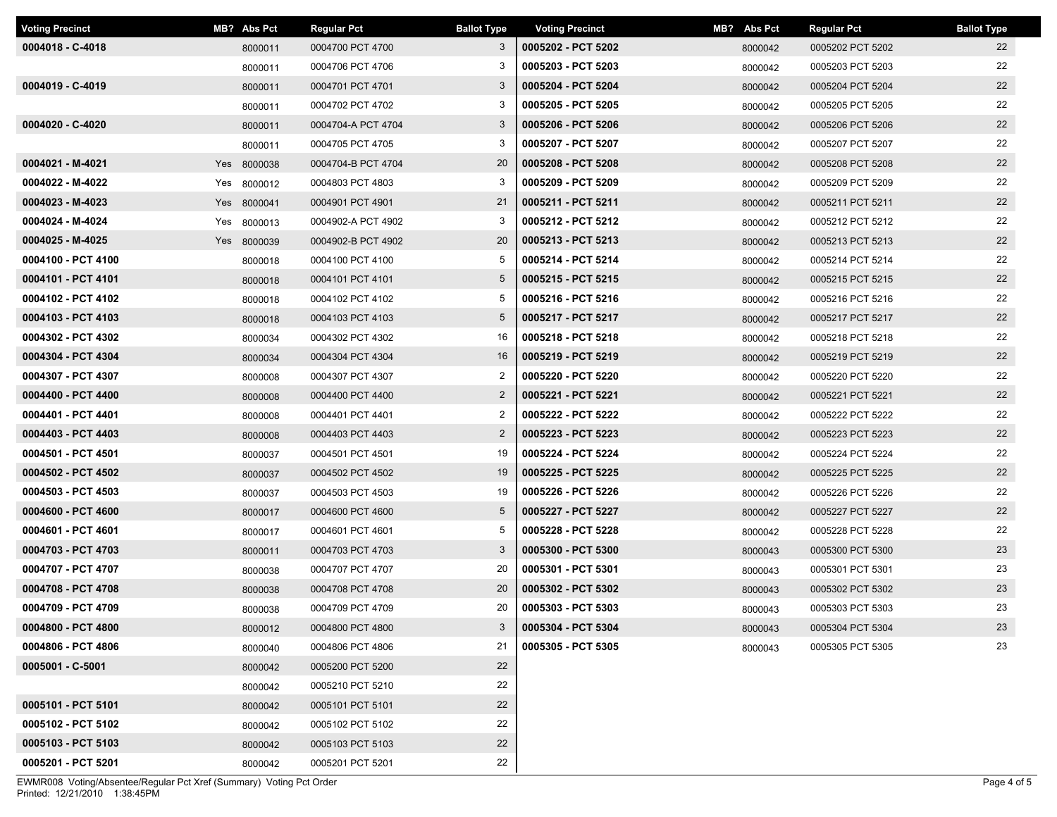| <b>Voting Precinct</b> | MB? Abs Pct | <b>Regular Pct</b> | <b>Ballot Type</b> | <b>Voting Precinct</b> | MB? Abs Pct | <b>Regular Pct</b> | <b>Ballot Type</b> |
|------------------------|-------------|--------------------|--------------------|------------------------|-------------|--------------------|--------------------|
| 0004018 - C-4018       | 8000011     | 0004700 PCT 4700   | 3                  | 0005202 - PCT 5202     | 8000042     | 0005202 PCT 5202   | 22                 |
|                        | 8000011     | 0004706 PCT 4706   | 3                  | 0005203 - PCT 5203     | 8000042     | 0005203 PCT 5203   | 22                 |
| 0004019 - C-4019       | 8000011     | 0004701 PCT 4701   | $\mathbf{3}$       | 0005204 - PCT 5204     | 8000042     | 0005204 PCT 5204   | 22                 |
|                        | 8000011     | 0004702 PCT 4702   | 3                  | 0005205 - PCT 5205     | 8000042     | 0005205 PCT 5205   | 22                 |
| 0004020 - C-4020       | 8000011     | 0004704-A PCT 4704 | 3                  | 0005206 - PCT 5206     | 8000042     | 0005206 PCT 5206   | 22                 |
|                        | 8000011     | 0004705 PCT 4705   | 3                  | 0005207 - PCT 5207     | 8000042     | 0005207 PCT 5207   | 22                 |
| 0004021 - M-4021       | Yes 8000038 | 0004704-B PCT 4704 | 20                 | 0005208 - PCT 5208     | 8000042     | 0005208 PCT 5208   | 22                 |
| 0004022 - M-4022       | Yes 8000012 | 0004803 PCT 4803   | 3                  | 0005209 - PCT 5209     | 8000042     | 0005209 PCT 5209   | 22                 |
| 0004023 - M-4023       | Yes 8000041 | 0004901 PCT 4901   | 21                 | 0005211 - PCT 5211     | 8000042     | 0005211 PCT 5211   | 22                 |
| 0004024 - M-4024       | Yes 8000013 | 0004902-A PCT 4902 | 3                  | 0005212 - PCT 5212     | 8000042     | 0005212 PCT 5212   | 22                 |
| 0004025 - M-4025       | Yes 8000039 | 0004902-B PCT 4902 | 20                 | 0005213 - PCT 5213     | 8000042     | 0005213 PCT 5213   | 22                 |
| 0004100 - PCT 4100     | 8000018     | 0004100 PCT 4100   | 5                  | 0005214 - PCT 5214     | 8000042     | 0005214 PCT 5214   | 22                 |
| 0004101 - PCT 4101     | 8000018     | 0004101 PCT 4101   | $5\overline{)}$    | 0005215 - PCT 5215     | 8000042     | 0005215 PCT 5215   | 22                 |
| 0004102 - PCT 4102     | 8000018     | 0004102 PCT 4102   | 5                  | 0005216 - PCT 5216     | 8000042     | 0005216 PCT 5216   | 22                 |
| 0004103 - PCT 4103     | 8000018     | 0004103 PCT 4103   | $5\overline{)}$    | 0005217 - PCT 5217     | 8000042     | 0005217 PCT 5217   | 22                 |
| 0004302 - PCT 4302     | 8000034     | 0004302 PCT 4302   | 16                 | 0005218 - PCT 5218     | 8000042     | 0005218 PCT 5218   | 22                 |
| 0004304 - PCT 4304     | 8000034     | 0004304 PCT 4304   | 16                 | 0005219 - PCT 5219     | 8000042     | 0005219 PCT 5219   | 22                 |
| 0004307 - PCT 4307     | 8000008     | 0004307 PCT 4307   | $\overline{2}$     | 0005220 - PCT 5220     | 8000042     | 0005220 PCT 5220   | 22                 |
| 0004400 - PCT 4400     | 8000008     | 0004400 PCT 4400   | $\overline{2}$     | 0005221 - PCT 5221     | 8000042     | 0005221 PCT 5221   | 22                 |
| 0004401 - PCT 4401     | 8000008     | 0004401 PCT 4401   | $\overline{2}$     | 0005222 - PCT 5222     | 8000042     | 0005222 PCT 5222   | 22                 |
| 0004403 - PCT 4403     | 8000008     | 0004403 PCT 4403   | $\overline{2}$     | 0005223 - PCT 5223     | 8000042     | 0005223 PCT 5223   | 22                 |
| 0004501 - PCT 4501     | 8000037     | 0004501 PCT 4501   | 19                 | 0005224 - PCT 5224     | 8000042     | 0005224 PCT 5224   | 22                 |
| 0004502 - PCT 4502     | 8000037     | 0004502 PCT 4502   | 19                 | 0005225 - PCT 5225     | 8000042     | 0005225 PCT 5225   | 22                 |
| 0004503 - PCT 4503     | 8000037     | 0004503 PCT 4503   | 19                 | 0005226 - PCT 5226     | 8000042     | 0005226 PCT 5226   | 22                 |
| 0004600 - PCT 4600     | 8000017     | 0004600 PCT 4600   | $5\overline{)}$    | 0005227 - PCT 5227     | 8000042     | 0005227 PCT 5227   | 22                 |
| 0004601 - PCT 4601     | 8000017     | 0004601 PCT 4601   | 5                  | 0005228 - PCT 5228     | 8000042     | 0005228 PCT 5228   | 22                 |
| 0004703 - PCT 4703     | 8000011     | 0004703 PCT 4703   | $\mathbf{3}$       | 0005300 - PCT 5300     | 8000043     | 0005300 PCT 5300   | 23                 |
| 0004707 - PCT 4707     | 8000038     | 0004707 PCT 4707   | 20                 | 0005301 - PCT 5301     | 8000043     | 0005301 PCT 5301   | 23                 |
| 0004708 - PCT 4708     | 8000038     | 0004708 PCT 4708   | 20                 | 0005302 - PCT 5302     | 8000043     | 0005302 PCT 5302   | 23                 |
| 0004709 - PCT 4709     | 8000038     | 0004709 PCT 4709   | 20                 | 0005303 - PCT 5303     | 8000043     | 0005303 PCT 5303   | 23                 |
| 0004800 - PCT 4800     | 8000012     | 0004800 PCT 4800   | 3                  | 0005304 - PCT 5304     | 8000043     | 0005304 PCT 5304   | 23                 |
| 0004806 - PCT 4806     | 8000040     | 0004806 PCT 4806   | 21                 | 0005305 - PCT 5305     | 8000043     | 0005305 PCT 5305   | 23                 |
| 0005001 - C-5001       | 8000042     | 0005200 PCT 5200   | 22                 |                        |             |                    |                    |
|                        | 8000042     | 0005210 PCT 5210   | 22                 |                        |             |                    |                    |
| 0005101 - PCT 5101     | 8000042     | 0005101 PCT 5101   | 22                 |                        |             |                    |                    |
| 0005102 - PCT 5102     | 8000042     | 0005102 PCT 5102   | 22                 |                        |             |                    |                    |
| 0005103 - PCT 5103     | 8000042     | 0005103 PCT 5103   | 22                 |                        |             |                    |                    |
| 0005201 - PCT 5201     | 8000042     | 0005201 PCT 5201   | 22                 |                        |             |                    |                    |